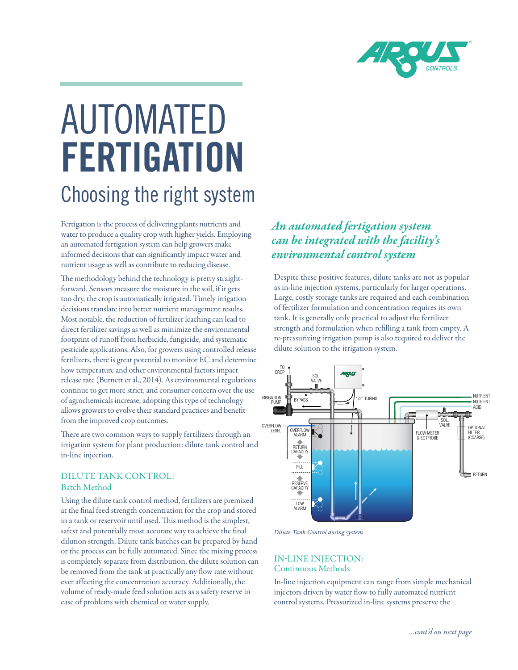

# AUTOMATED FERTIGATION Choosing the right system

Fertigation is the process of delivering plants nutrients and water to produce a quality crop with higher yields. Employing an automated fertigation system can help growers make informed decisions that can significantly impact water and nutrient usage as well as contribute to reducing disease.

The methodology behind the technology is pretty straightforward. Sensors measure the moisture in the soil, if it gets too dry, the crop is automatically irrigated. Timely irrigation decisions translate into better nutrient management results. Most notable, the reduction of fertilizer leaching can lead to direct fertilizer savings as well as minimize the environmental footprint of runoff from herbicide, fungicide, and systematic pesticide applications. Also, for growers using controlled release fertilizers, there is great potential to monitor EC and determine how temperature and other environmental factors impact release rate (Burnett et al., 2014). As environmental regulations continue to get more strict, and consumer concern over the use of agrochemicals increase, adopting this type of technology allows growers to evolve their standard practices and benefit from the improved crop outcomes.

There are two common ways to supply fertilizers through an irrigation system for plant production: dilute tank control and in-line injection.

#### DILUTE TANK CONTROL: Batch Method

Using the dilute tank control method, fertilizers are premixed at the final feed strength concentration for the crop and stored in a tank or reservoir until used. This method is the simplest, safest and potentially most accurate way to achieve the final dilution strength. Dilute tank batches can be prepared by hand or the process can be fully automated. Since the mixing process is completely separate from distribution, the dilute solution can be removed from the tank at practically any flow rate without ever affecting the concentration accuracy. Additionally, the volume of ready-made feed solution acts as a safety reserve in case of problems with chemical or water supply.

### *An automated fertigation system can be integrated with the facility's environmental control system*

Despite these positive features, dilute tanks are not as popular as in-line injection systems, particularly for larger operations. Large, costly storage tanks are required and each combination of fertilizer formulation and concentration requires its own tank. It is generally only practical to adjust the fertilizer strength and formulation when refilling a tank from empty. A re-pressurizing irrigation pump is also required to deliver the dilute solution to the irrigation system.



*Dilute Tank Control dosing system*

#### IN-LINE INJECTION: Continuous Methods

In-line injection equipment can range from simple mechanical injectors driven by water flow to fully automated nutrient control systems. Pressurized in-line systems preserve the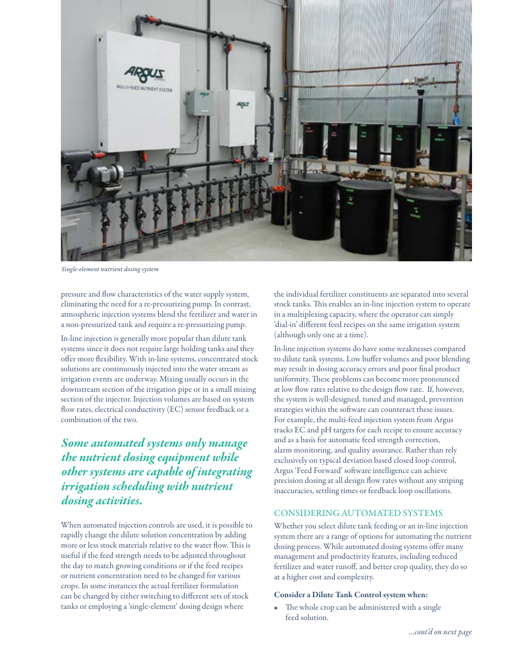

*Single-element nutrient dosing system*

pressure and flow characteristics of the water supply system, eliminating the need for a re-pressurizing pump. In contrast, atmospheric injection systems blend the fertilizer and water in a non-pressurized tank and require a re-pressurizing pump.

In-line injection is generally more popular than dilute tank systems since it does not require large holding tanks and they offer more flexibility. With in-line systems, concentrated stock solutions are continuously injected into the water stream as irrigation events are underway. Mixing usually occurs in the downstream section of the irrigation pipe or in a small mixing section of the injector. Injection volumes are based on system flow rates, electrical conductivity (EC) sensor feedback or a combination of the two.

*Some automated systems only manage the nutrient dosing equipment while other systems are capable of integrating irrigation scheduling with nutrient dosing activities.*

When automated injection controls are used, it is possible to rapidly change the dilute solution concentration by adding more or less stock materials relative to the water flow. This is useful if the feed strength needs to be adjusted throughout the day to match growing conditions or if the feed recipes or nutrient concentration need to be changed for various crops. In some instances the actual fertilizer formulation can be changed by either switching to different sets of stock tanks or employing a 'single-element' dosing design where

the individual fertilizer constituents are separated into several stock tanks. This enables an in-line injection system to operate in a multiplexing capacity, where the operator can simply 'dial-in' different feed recipes on the same irrigation system (although only one at a time).

In-line injection systems do have some weaknesses compared to dilute tank systems. Low buffer volumes and poor blending may result in dosing accuracy errors and poor final product uniformity. These problems can become more pronounced at low flow rates relative to the design flow rate. If, however, the system is well-designed, tuned and managed, prevention strategies within the software can counteract these issues. For example, the multi-feed injection system from Argus tracks EC and pH targets for each recipe to ensure accuracy and as a basis for automatic feed strength correction, alarm monitoring, and quality assurance. Rather than rely exclusively on typical deviation based closed loop control, Argus 'Feed Forward' software intelligence can achieve precision dosing at all design flow rates without any striping inaccuracies, settling times or feedback loop oscillations.

#### CONSIDERING AUTOMATED SYSTEMS

Whether you select dilute tank feeding or an in-line injection system there are a range of options for automating the nutrient dosing process. While automated dosing systems offer many management and productivity features, including reduced fertilizer and water runoff, and better crop quality, they do so at a higher cost and complexity.

#### Consider a Dilute Tank Control system when:

The whole crop can be administered with a single feed solution.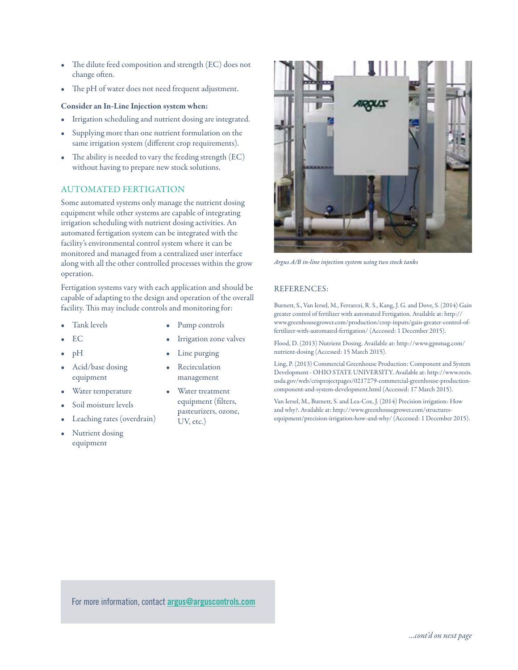- The dilute feed composition and strength (EC) does not change often.
- The pH of water does not need frequent adjustment.

#### Consider an In-Line Injection system when:

- Irrigation scheduling and nutrient dosing are integrated.
- Supplying more than one nutrient formulation on the same irrigation system (different crop requirements).
- The ability is needed to vary the feeding strength (EC) without having to prepare new stock solutions.

#### AUTOMATED FERTIGATION

Some automated systems only manage the nutrient dosing equipment while other systems are capable of integrating irrigation scheduling with nutrient dosing activities. An automated fertigation system can be integrated with the facility's environmental control system where it can be monitored and managed from a centralized user interface along with all the other controlled processes within the grow operation.

Fertigation systems vary with each application and should be capable of adapting to the design and operation of the overall facility. This may include controls and monitoring for:

- Tank levels
- EC
- pH
- Acid/base dosing equipment
- Water temperature
- Soil moisture levels
- Leaching rates (overdrain)
- Nutrient dosing equipment
- Pump controls
- Irrigation zone valves
- Line purging
- **Recirculation** management
- Water treatment equipment (filters, pasteurizers, ozone, UV, etc.)



*Argus A/B in-line injection system using two stock tanks*

#### REFERENCES:

Burnett, S., Van Iersel, M., Ferrarezi, R. S., Kang, J. G. and Dove, S. (2014) Gain greater control of fertilizer with automated Fertigation. Available at: http:// www.greenhousegrower.com/production/crop-inputs/gain-greater-control-offertilizer-with-automated-fertigation/ (Accessed: 1 December 2015).

Flood, D. (2013) Nutrient Dosing. Available at: http://www.gpnmag.com/ nutrient-dosing (Accessed: 15 March 2015).

Ling, P. (2013) Commercial Greenhouse Production: Component and System Development - OHIO STATE UNIVERSITY. Available at: http://www.reeis. usda.gov/web/crisprojectpages/0217279-commercial-greenhouse-productioncomponent-and-system-development.html (Accessed: 17 March 2015).

Van Iersel, M., Burnett, S. and Lea-Cox, J. (2014) Precision irrigation: How and why?. Available at: http://www.greenhousegrower.com/structuresequipment/precision-irrigation-how-and-why/ (Accessed: 1 December 2015).

For more information, contact **argus@arguscontrols.com**